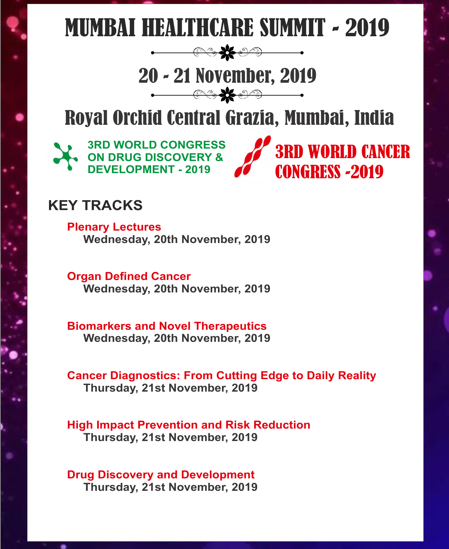# MUMBAI HEALTHCARE SUMMIT - 2019

# 20 - 21 November, 2019

# Royal Orchid Central Grazia, Mumbai, India

3RD WORLD CANCER

CONGRESS -2019



#### **KEY TRACKS**

**Plenary Lectures Wednesday, 20th November, 2019** 

**Organ Defined Cancer Wednesday, 20th November, 2019**

**Biomarkers and Novel Therapeutics Wednesday, 20th November, 2019**

**Cancer Diagnostics: From Cutting Edge to Daily Reality Thursday, 21st November, 2019**

**High Impact Prevention and Risk Reduction Thursday, 21st November, 2019**

**Drug Discovery and Development Thursday, 21st November, 2019**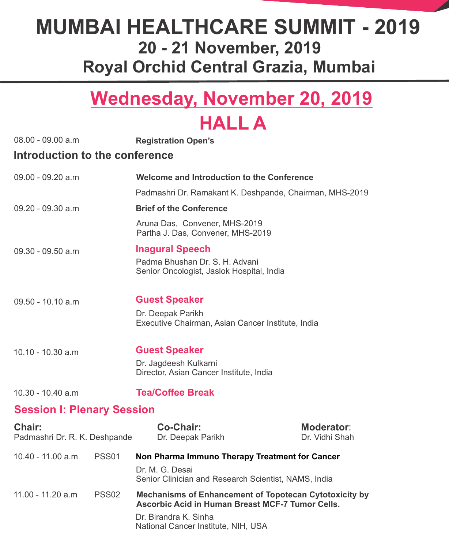### **Wednesday, November 20, 2019 HALL A**

| $08.00 - 09.00 a.m$                            |                   | <b>Registration Open's</b>                                                                                                                                                               |                              |
|------------------------------------------------|-------------------|------------------------------------------------------------------------------------------------------------------------------------------------------------------------------------------|------------------------------|
| Introduction to the conference                 |                   |                                                                                                                                                                                          |                              |
| 09.00 - 09.20 a.m                              |                   | Welcome and Introduction to the Conference                                                                                                                                               |                              |
|                                                |                   | Padmashri Dr. Ramakant K. Deshpande, Chairman, MHS-2019                                                                                                                                  |                              |
| $09.20 - 09.30$ a.m                            |                   | <b>Brief of the Conference</b>                                                                                                                                                           |                              |
|                                                |                   | Aruna Das, Convener, MHS-2019<br>Partha J. Das, Convener, MHS-2019                                                                                                                       |                              |
| $09.30 - 09.50$ a.m                            |                   | <b>Inagural Speech</b>                                                                                                                                                                   |                              |
|                                                |                   | Padma Bhushan Dr. S. H. Advani<br>Senior Oncologist, Jaslok Hospital, India                                                                                                              |                              |
| $09.50 - 10.10$ a.m                            |                   | <b>Guest Speaker</b>                                                                                                                                                                     |                              |
|                                                |                   | Dr. Deepak Parikh<br>Executive Chairman, Asian Cancer Institute, India                                                                                                                   |                              |
| 10.10 - 10.30 a.m                              |                   | <b>Guest Speaker</b>                                                                                                                                                                     |                              |
|                                                |                   | Dr. Jagdeesh Kulkarni<br>Director, Asian Cancer Institute, India                                                                                                                         |                              |
| 10.30 - 10.40 a.m                              |                   | <b>Tea/Coffee Break</b>                                                                                                                                                                  |                              |
| <b>Session I: Plenary Session</b>              |                   |                                                                                                                                                                                          |                              |
| <b>Chair:</b><br>Padmashri Dr. R. K. Deshpande |                   | <b>Co-Chair:</b><br>Dr. Deepak Parikh                                                                                                                                                    | Moderator:<br>Dr. Vidhi Shah |
| 10.40 - 11.00 a.m                              | <b>PSS01</b>      | Non Pharma Immuno Therapy Treatment for Cancer                                                                                                                                           |                              |
|                                                |                   | Dr. M. G. Desai<br>Senior Clinician and Research Scientist, NAMS, India                                                                                                                  |                              |
| 11.00 - 11.20 a.m                              | PSS <sub>02</sub> | <b>Mechanisms of Enhancement of Topotecan Cytotoxicity by</b><br><b>Ascorbic Acid in Human Breast MCF-7 Tumor Cells.</b><br>Dr. Birandra K. Sinha<br>National Cancer Institute, NIH, USA |                              |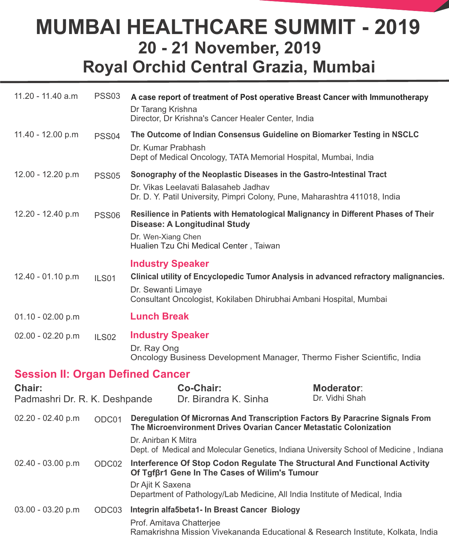| 11.20 - 11.40 a.m                       | <b>PSS03</b>      | A case report of treatment of Post operative Breast Cancer with Immunotherapy<br>Dr Tarang Krishna<br>Director, Dr Krishna's Cancer Healer Center, India |                                     |
|-----------------------------------------|-------------------|----------------------------------------------------------------------------------------------------------------------------------------------------------|-------------------------------------|
| 11.40 - 12.00 p.m                       | PSS <sub>04</sub> | The Outcome of Indian Consensus Guideline on Biomarker Testing in NSCLC                                                                                  |                                     |
|                                         |                   | Dr. Kumar Prabhash<br>Dept of Medical Oncology, TATA Memorial Hospital, Mumbai, India                                                                    |                                     |
| 12.00 - 12.20 p.m                       | <b>PSS05</b>      | Sonography of the Neoplastic Diseases in the Gastro-Intestinal Tract                                                                                     |                                     |
|                                         |                   | Dr. Vikas Leelavati Balasaheb Jadhav<br>Dr. D. Y. Patil University, Pimpri Colony, Pune, Maharashtra 411018, India                                       |                                     |
| 12.20 - 12.40 p.m                       | <b>PSS06</b>      | Resilience in Patients with Hematological Malignancy in Different Phases of Their<br><b>Disease: A Longitudinal Study</b>                                |                                     |
|                                         |                   | Dr. Wen-Xiang Chen<br>Hualien Tzu Chi Medical Center, Taiwan                                                                                             |                                     |
|                                         |                   | <b>Industry Speaker</b>                                                                                                                                  |                                     |
| 12.40 - 01.10 p.m                       | ILS01             | Clinical utility of Encyclopedic Tumor Analysis in advanced refractory malignancies.                                                                     |                                     |
|                                         |                   | Dr. Sewanti Limaye<br>Consultant Oncologist, Kokilaben Dhirubhai Ambani Hospital, Mumbai                                                                 |                                     |
| $01.10 - 02.00 p.m$                     |                   | <b>Lunch Break</b>                                                                                                                                       |                                     |
| 02.00 - 02.20 p.m                       | ILS <sub>02</sub> | <b>Industry Speaker</b>                                                                                                                                  |                                     |
|                                         |                   | Dr. Ray Ong<br>Oncology Business Development Manager, Thermo Fisher Scientific, India                                                                    |                                     |
| <b>Session II: Organ Defined Cancer</b> |                   |                                                                                                                                                          |                                     |
| Chair:<br>Padmashri Dr. R. K. Deshpande |                   | <b>Co-Chair:</b><br>Dr. Birandra K. Sinha                                                                                                                | <b>Moderator:</b><br>Dr. Vidhi Shah |
| 02.20 - 02.40 p.m                       | ODC01             | Deregulation Of Micrornas And Transcription Factors By Paracrine Signals From<br>The Microenvironment Drives Ovarian Cancer Metastatic Colonization      |                                     |
|                                         |                   | Dr. Anirban K Mitra<br>Dept. of Medical and Molecular Genetics, Indiana University School of Medicine, Indiana                                           |                                     |
| $02.40 - 03.00 p.m$                     | ODC02             | Interference Of Stop Codon Regulate The Structural And Functional Activity<br>Of Tgfβr1 Gene In The Cases of Wilim's Tumour                              |                                     |
|                                         |                   | Dr Ajit K Saxena<br>Department of Pathology/Lab Medicine, All India Institute of Medical, India                                                          |                                     |
| $03.00 - 03.20 p.m$                     | ODC03             | Integrin alfa5beta1- In Breast Cancer Biology                                                                                                            |                                     |
|                                         |                   | Prof. Amitava Chatterjee                                                                                                                                 |                                     |

Ramakrishna Mission Vivekananda Educational & Research Institute, Kolkata, India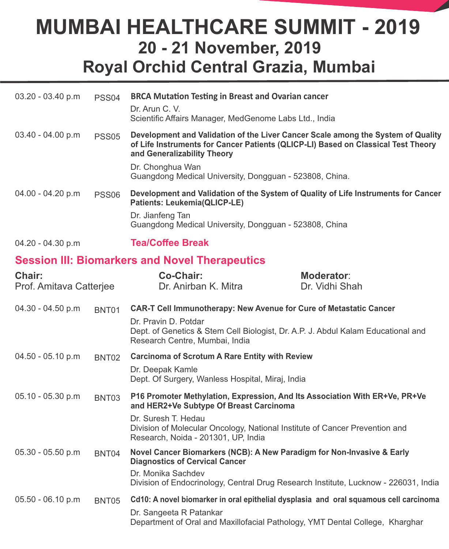| $03.20 - 03.40 p.m$                      | PSS <sub>04</sub> | <b>BRCA Mutation Testing in Breast and Ovarian cancer</b>                                                                                                                                                                    |                                     |
|------------------------------------------|-------------------|------------------------------------------------------------------------------------------------------------------------------------------------------------------------------------------------------------------------------|-------------------------------------|
|                                          |                   | Dr. Arun C. V.<br>Scientific Affairs Manager, MedGenome Labs Ltd., India                                                                                                                                                     |                                     |
| $03.40 - 04.00 p.m$                      | <b>PSS05</b>      | Development and Validation of the Liver Cancer Scale among the System of Quality<br>of Life Instruments for Cancer Patients (QLICP-LI) Based on Classical Test Theory<br>and Generalizability Theory                         |                                     |
|                                          |                   | Dr. Chonghua Wan<br>Guangdong Medical University, Dongguan - 523808, China.                                                                                                                                                  |                                     |
| 04.00 - 04.20 p.m                        | <b>PSS06</b>      | Development and Validation of the System of Quality of Life Instruments for Cancer<br><b>Patients: Leukemia(QLICP-LE)</b>                                                                                                    |                                     |
|                                          |                   | Dr. Jianfeng Tan<br>Guangdong Medical University, Dongguan - 523808, China                                                                                                                                                   |                                     |
| 04.20 - 04.30 p.m                        |                   | <b>Tea/Coffee Break</b>                                                                                                                                                                                                      |                                     |
|                                          |                   | <b>Session III: Biomarkers and Novel Therapeutics</b>                                                                                                                                                                        |                                     |
| <b>Chair:</b><br>Prof. Amitava Catterjee |                   | <b>Co-Chair:</b><br>Dr. Anirban K. Mitra                                                                                                                                                                                     | <b>Moderator:</b><br>Dr. Vidhi Shah |
| 04.30 - 04.50 p.m                        | BNT01             | <b>CAR-T Cell Immunotherapy: New Avenue for Cure of Metastatic Cancer</b>                                                                                                                                                    |                                     |
|                                          |                   | Dr. Pravin D. Potdar<br>Dept. of Genetics & Stem Cell Biologist, Dr. A.P. J. Abdul Kalam Educational and<br>Research Centre, Mumbai, India                                                                                   |                                     |
| $04.50 - 05.10 p.m$                      | BNT02             | <b>Carcinoma of Scrotum A Rare Entity with Review</b>                                                                                                                                                                        |                                     |
|                                          |                   | Dr. Deepak Kamle<br>Dept. Of Surgery, Wanless Hospital, Miraj, India                                                                                                                                                         |                                     |
| 05.10 - 05.30 p.m                        | BNT03             | P16 Promoter Methylation, Expression, And Its Association With ER+Ve, PR+Ve<br>and HER2+Ve Subtype Of Breast Carcinoma                                                                                                       |                                     |
|                                          |                   | Dr. Suresh T. Hedau<br>Division of Molecular Oncology, National Institute of Cancer Prevention and<br>Research, Noida - 201301, UP, India                                                                                    |                                     |
| $05.30 - 05.50 p.m$                      | BNT04             | Novel Cancer Biomarkers (NCB): A New Paradigm for Non-Invasive & Early<br><b>Diagnostics of Cervical Cancer</b><br>Dr. Monika Sachdev<br>Division of Endocrinology, Central Drug Research Institute, Lucknow - 226031, India |                                     |
| $05.50 - 06.10 p.m$                      | BNT05             | Cd10: A novel biomarker in oral epithelial dysplasia and oral squamous cell carcinoma                                                                                                                                        |                                     |
|                                          |                   | Dr. Sangeeta R Patankar<br>Department of Oral and Maxillofacial Pathology, YMT Dental College, Kharghar                                                                                                                      |                                     |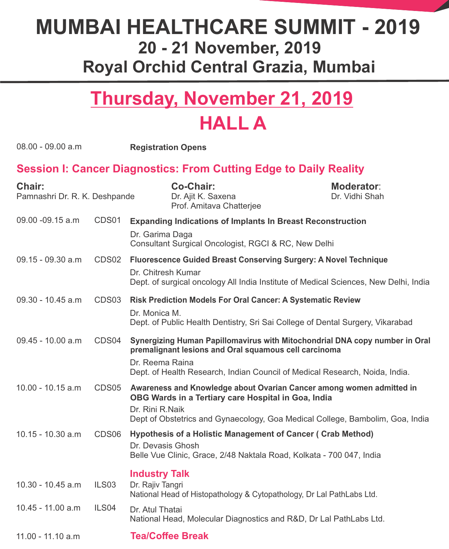# **Thursday, November 21, 2019 HALL A**

| $08.00 - 09.00 a.m$                            |                   | <b>Registration Opens</b>                                                                                                                                                                                                              |                                     |
|------------------------------------------------|-------------------|----------------------------------------------------------------------------------------------------------------------------------------------------------------------------------------------------------------------------------------|-------------------------------------|
|                                                |                   | <b>Session I: Cancer Diagnostics: From Cutting Edge to Daily Reality</b>                                                                                                                                                               |                                     |
| <b>Chair:</b><br>Pamnashri Dr. R. K. Deshpande |                   | <b>Co-Chair:</b><br>Dr. Ajit K. Saxena<br>Prof. Amitava Chatterjee                                                                                                                                                                     | <b>Moderator:</b><br>Dr. Vidhi Shah |
| 09.00 -09.15 a.m                               | CDS01             | <b>Expanding Indications of Implants In Breast Reconstruction</b><br>Dr. Garima Daga<br>Consultant Surgical Oncologist, RGCI & RC, New Delhi                                                                                           |                                     |
| $09.15 - 09.30$ a.m                            | CDS02             | <b>Fluorescence Guided Breast Conserving Surgery: A Novel Technique</b><br>Dr. Chitresh Kumar<br>Dept. of surgical oncology All India Institute of Medical Sciences, New Delhi, India                                                  |                                     |
| $09.30 - 10.45$ a.m                            | CDS03             | <b>Risk Prediction Models For Oral Cancer: A Systematic Review</b><br>Dr. Monica M.<br>Dept. of Public Health Dentistry, Sri Sai College of Dental Surgery, Vikarabad                                                                  |                                     |
| $09.45 - 10.00$ a.m                            | CDS04             | Synergizing Human Papillomavirus with Mitochondrial DNA copy number in Oral<br>premalignant lesions and Oral squamous cell carcinoma<br>Dr. Reema Raina<br>Dept. of Health Research, Indian Council of Medical Research, Noida, India. |                                     |
| 10.00 - 10.15 a.m                              | CDS <sub>05</sub> | Awareness and Knowledge about Ovarian Cancer among women admitted in<br>OBG Wards in a Tertiary care Hospital in Goa, India<br>Dr. Rini R.Naik<br>Dept of Obstetrics and Gynaecology, Goa Medical College, Bambolim, Goa, India        |                                     |
| $10.15 - 10.30$ a.m                            | CDS <sub>06</sub> | <b>Hypothesis of a Holistic Management of Cancer (Crab Method)</b><br>Dr. Devasis Ghosh<br>Belle Vue Clinic, Grace, 2/48 Naktala Road, Kolkata - 700 047, India                                                                        |                                     |
| 10.30 - 10.45 a.m                              | ILS <sub>03</sub> | <b>Industry Talk</b><br>Dr. Rajiv Tangri<br>National Head of Histopathology & Cytopathology, Dr Lal PathLabs Ltd.                                                                                                                      |                                     |
| 10.45 - 11.00 a.m                              | ILS04             | Dr. Atul Thatai<br>National Head, Molecular Diagnostics and R&D, Dr Lal PathLabs Ltd.                                                                                                                                                  |                                     |
| 11.00 - 11.10 a.m                              |                   | <b>Tea/Coffee Break</b>                                                                                                                                                                                                                |                                     |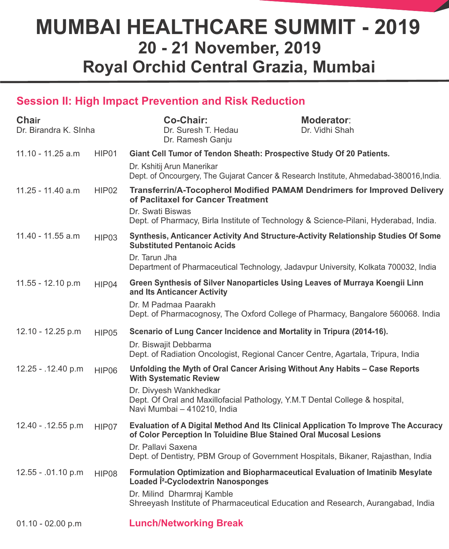#### **Session II: High Impact Prevention and Risk Reduction**

| <b>Chair</b><br>Dr. Birandra K. Slnha |                   | <b>Co-Chair:</b><br>Dr. Suresh T. Hedau<br>Dr. Ramesh Ganju                                                                                                                                                                       | <b>Moderator:</b><br>Dr. Vidhi Shah |
|---------------------------------------|-------------------|-----------------------------------------------------------------------------------------------------------------------------------------------------------------------------------------------------------------------------------|-------------------------------------|
| $11.10 - 11.25$ a.m                   | HIP01             | Giant Cell Tumor of Tendon Sheath: Prospective Study Of 20 Patients.                                                                                                                                                              |                                     |
|                                       |                   | Dr. Kshitij Arun Manerikar<br>Dept. of Oncourgery, The Gujarat Cancer & Research Institute, Ahmedabad-380016, India.                                                                                                              |                                     |
| 11.25 - 11.40 a.m                     | HIP <sub>02</sub> | <b>Transferrin/A-Tocopherol Modified PAMAM Dendrimers for Improved Delivery</b><br>of Paclitaxel for Cancer Treatment<br>Dr. Swati Biswas<br>Dept. of Pharmacy, Birla Institute of Technology & Science-Pilani, Hyderabad, India. |                                     |
| $11.40 - 11.55$ a.m                   | HIP03             | Synthesis, Anticancer Activity And Structure-Activity Relationship Studies Of Some<br><b>Substituted Pentanoic Acids</b><br>Dr. Tarun Jha                                                                                         |                                     |
|                                       |                   | Department of Pharmaceutical Technology, Jadavpur University, Kolkata 700032, India                                                                                                                                               |                                     |
| $11.55 - 12.10$ p.m                   | HIP04             | Green Synthesis of Silver Nanoparticles Using Leaves of Murraya Koengii Linn<br>and Its Anticancer Activity                                                                                                                       |                                     |
|                                       |                   | Dr. M Padmaa Paarakh<br>Dept. of Pharmacognosy, The Oxford College of Pharmacy, Bangalore 560068. India                                                                                                                           |                                     |
| 12.10 - 12.25 p.m                     | HIP05             | Scenario of Lung Cancer Incidence and Mortality in Tripura (2014-16).                                                                                                                                                             |                                     |
|                                       |                   | Dr. Biswajit Debbarma<br>Dept. of Radiation Oncologist, Regional Cancer Centre, Agartala, Tripura, India                                                                                                                          |                                     |
| 12.25 - .12.40 p.m                    | HIP06             | Unfolding the Myth of Oral Cancer Arising Without Any Habits - Case Reports<br><b>With Systematic Review</b>                                                                                                                      |                                     |
|                                       |                   | Dr. Divyesh Wankhedkar<br>Dept. Of Oral and Maxillofacial Pathology, Y.M.T Dental College & hospital,<br>Navi Mumbai - 410210, India                                                                                              |                                     |
| 12.40 - .12.55 p.m                    | HIP07             | Evaluation of A Digital Method And Its Clinical Application To Improve The Accuracy<br>of Color Perception In Toluidine Blue Stained Oral Mucosal Lesions<br>Dr. Pallavi Saxena                                                   |                                     |
|                                       |                   | Dept. of Dentistry, PBM Group of Government Hospitals, Bikaner, Rajasthan, India                                                                                                                                                  |                                     |
| 12.55 - .01.10 p.m                    | HIP08             | Formulation Optimization and Biopharmaceutical Evaluation of Imatinib Mesylate<br>Loaded i <sup>2</sup> -Cyclodextrin Nanosponges                                                                                                 |                                     |
|                                       |                   | Dr. Milind Dharmraj Kamble<br>Shreeyash Institute of Pharmaceutical Education and Research, Aurangabad, India                                                                                                                     |                                     |
| $01.10 - 02.00 p.m$                   |                   | <b>Lunch/Networking Break</b>                                                                                                                                                                                                     |                                     |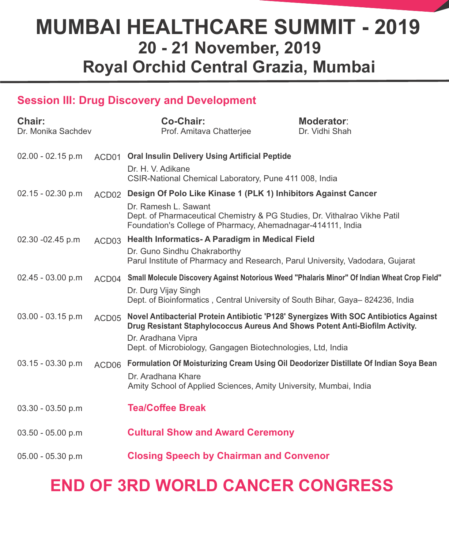#### **Session III: Drug Discovery and Development**

| <b>Chair:</b><br>Dr. Monika Sachdev |                   | <b>Co-Chair:</b><br>Prof. Amitava Chatterjee                                                                                                                                                | <b>Moderator:</b><br>Dr. Vidhi Shah |
|-------------------------------------|-------------------|---------------------------------------------------------------------------------------------------------------------------------------------------------------------------------------------|-------------------------------------|
| $02.00 - 02.15 p.m$                 | ACD01             | <b>Oral Insulin Delivery Using Artificial Peptide</b>                                                                                                                                       |                                     |
|                                     |                   | Dr. H. V. Adikane<br>CSIR-National Chemical Laboratory, Pune 411 008, India                                                                                                                 |                                     |
| 02.15 - 02.30 p.m                   | ACD <sub>02</sub> | Design Of Polo Like Kinase 1 (PLK 1) Inhibitors Against Cancer                                                                                                                              |                                     |
|                                     |                   | Dr. Ramesh L. Sawant<br>Dept. of Pharmaceutical Chemistry & PG Studies, Dr. Vithalrao Vikhe Patil<br>Foundation's College of Pharmacy, Ahemadnagar-414111, India                            |                                     |
| 02.30 -02.45 p.m                    | ACD03             | Health Informatics-A Paradigm in Medical Field                                                                                                                                              |                                     |
|                                     |                   | Dr. Guno Sindhu Chakraborthy<br>Parul Institute of Pharmacy and Research, Parul University, Vadodara, Gujarat                                                                               |                                     |
| 02.45 - 03.00 p.m                   | ACD04             | Small Molecule Discovery Against Notorious Weed "Phalaris Minor" Of Indian Wheat Crop Field"                                                                                                |                                     |
|                                     |                   | Dr. Durg Vijay Singh<br>Dept. of Bioinformatics, Central University of South Bihar, Gaya-824236, India                                                                                      |                                     |
| $03.00 - 03.15$ p.m                 | ACD05             | Novel Antibacterial Protein Antibiotic 'P128' Synergizes With SOC Antibiotics Against<br>Drug Resistant Staphylococcus Aureus And Shows Potent Anti-Biofilm Activity.<br>Dr. Aradhana Vipra |                                     |
|                                     |                   | Dept. of Microbiology, Gangagen Biotechnologies, Ltd, India                                                                                                                                 |                                     |
| $03.15 - 03.30 p.m$                 | ACD06             | Formulation Of Moisturizing Cream Using Oil Deodorizer Distillate Of Indian Soya Bean                                                                                                       |                                     |
|                                     |                   | Dr. Aradhana Khare<br>Amity School of Applied Sciences, Amity University, Mumbai, India                                                                                                     |                                     |
| 03.30 - 03.50 p.m                   |                   | <b>Tea/Coffee Break</b>                                                                                                                                                                     |                                     |
| 03.50 - 05.00 p.m                   |                   | <b>Cultural Show and Award Ceremony</b>                                                                                                                                                     |                                     |
| 05.00 - 05.30 p.m                   |                   | <b>Closing Speech by Chairman and Convenor</b>                                                                                                                                              |                                     |

### **END OF 3RD WORLD CANCER CONGRESS**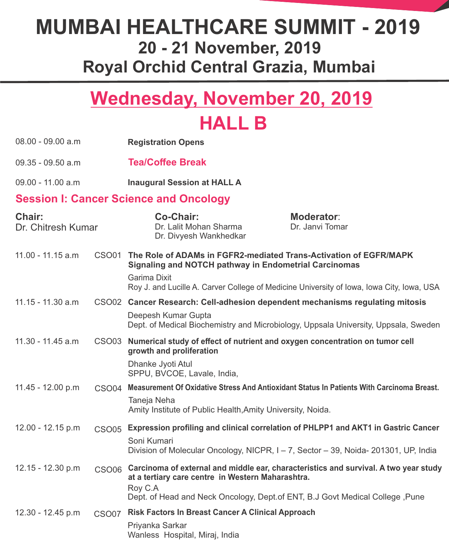# **Wednesday, November 20, 2019 HALL B**

| $08.00 - 09.00 a.m$                 |                   | <b>Registration Opens</b>                                                    |                                                                                                                                                                       |
|-------------------------------------|-------------------|------------------------------------------------------------------------------|-----------------------------------------------------------------------------------------------------------------------------------------------------------------------|
| $09.35 - 09.50$ a.m                 |                   | <b>Tea/Coffee Break</b>                                                      |                                                                                                                                                                       |
| 09.00 - 11.00 a.m                   |                   | <b>Inaugural Session at HALL A</b>                                           |                                                                                                                                                                       |
|                                     |                   | <b>Session I: Cancer Science and Oncology</b>                                |                                                                                                                                                                       |
| <b>Chair:</b><br>Dr. Chitresh Kumar |                   | <b>Co-Chair:</b><br>Dr. Lalit Mohan Sharma<br>Dr. Divyesh Wankhedkar         | <b>Moderator:</b><br>Dr. Janvi Tomar                                                                                                                                  |
| $11.00 - 11.15$ a.m                 | CSO01             | <b>Signaling and NOTCH pathway in Endometrial Carcinomas</b><br>Garima Dixit | The Role of ADAMs in FGFR2-mediated Trans-Activation of EGFR/MAPK<br>Roy J. and Lucille A. Carver College of Medicine University of Iowa, Iowa City, Iowa, USA        |
| $11.15 - 11.30$ a.m                 |                   |                                                                              | CSO02 Cancer Research: Cell-adhesion dependent mechanisms regulating mitosis                                                                                          |
|                                     |                   | Deepesh Kumar Gupta                                                          | Dept. of Medical Biochemistry and Microbiology, Uppsala University, Uppsala, Sweden                                                                                   |
| 11.30 - 11.45 a.m                   | CSO <sub>03</sub> | growth and proliferation                                                     | Numerical study of effect of nutrient and oxygen concentration on tumor cell                                                                                          |
|                                     |                   | Dhanke Jyoti Atul<br>SPPU, BVCOE, Lavale, India,                             |                                                                                                                                                                       |
| 11.45 - 12.00 p.m                   | CSO <sub>04</sub> |                                                                              | Measurement Of Oxidative Stress And Antioxidant Status In Patients With Carcinoma Breast.                                                                             |
|                                     |                   | Taneja Neha<br>Amity Institute of Public Health, Amity University, Noida.    |                                                                                                                                                                       |
| 12.00 - 12.15 p.m                   | <b>CSO05</b>      |                                                                              | Expression profiling and clinical correlation of PHLPP1 and AKT1 in Gastric Cancer                                                                                    |
|                                     |                   | Soni Kumari                                                                  | Division of Molecular Oncology, NICPR, I-7, Sector - 39, Noida-201301, UP, India                                                                                      |
| 12.15 - 12.30 p.m                   | CSO06             | at a tertiary care centre in Western Maharashtra.<br>Roy C.A                 | Carcinoma of external and middle ear, characteristics and survival. A two year study<br>Dept. of Head and Neck Oncology, Dept. of ENT, B.J Govt Medical College, Pune |
| 12.30 - 12.45 p.m                   | <b>CSO07</b>      | <b>Risk Factors In Breast Cancer A Clinical Approach</b>                     |                                                                                                                                                                       |
|                                     |                   | Priyanka Sarkar<br>Wanless Hospital, Miraj, India                            |                                                                                                                                                                       |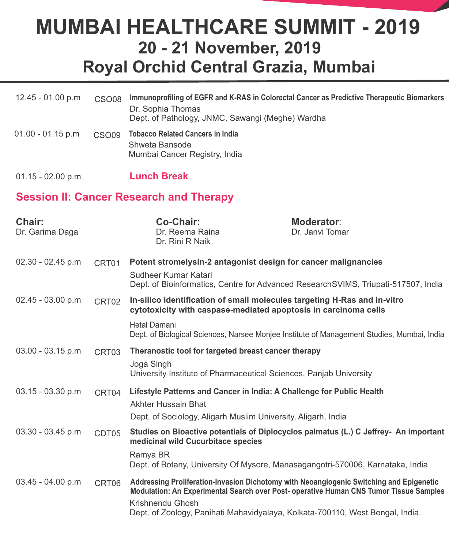| $12.45 - 01.00 p.m$ | <b>CSO08</b> | Immunoprofiling of EGFR and K-RAS in Colorectal Cancer as Predictive Therapeutic Biomarkers<br>Dr. Sophia Thomas<br>Dept. of Pathology, JNMC, Sawangi (Meghe) Wardha |
|---------------------|--------------|----------------------------------------------------------------------------------------------------------------------------------------------------------------------|
| $01.00 - 01.15$ p.m | <b>CSO09</b> | <b>Tobacco Related Cancers in India</b><br>Shweta Bansode<br>Mumbai Cancer Registry, India                                                                           |

01.15 - 02.00 p.m **Lunch Break**

#### **Session II: Cancer Research and Therapy**

| Chair:<br>Dr. Garima Daga |                   | <b>Co-Chair:</b><br>Dr. Reema Raina<br>Dr. Rini R Naik                           | <b>Moderator:</b><br>Dr. Janvi Tomar                                                                                                                                                                                                                               |  |
|---------------------------|-------------------|----------------------------------------------------------------------------------|--------------------------------------------------------------------------------------------------------------------------------------------------------------------------------------------------------------------------------------------------------------------|--|
| $02.30 - 02.45 p.m$       | CRT01             |                                                                                  | Potent stromelysin-2 antagonist design for cancer malignancies                                                                                                                                                                                                     |  |
|                           |                   | Sudheer Kumar Katari                                                             | Dept. of Bioinformatics, Centre for Advanced ResearchSVIMS, Triupati-517507, India                                                                                                                                                                                 |  |
| $02.45 - 03.00 p.m$       | CRT02             |                                                                                  | In-silico identification of small molecules targeting H-Ras and in-vitro<br>cytotoxicity with caspase-mediated apoptosis in carcinoma cells                                                                                                                        |  |
|                           |                   | <b>Hetal Damani</b>                                                              | Dept. of Biological Sciences, Narsee Monjee Institute of Management Studies, Mumbai, India                                                                                                                                                                         |  |
| 03.00 - 03.15 p.m         | CRT <sub>03</sub> | Theranostic tool for targeted breast cancer therapy                              |                                                                                                                                                                                                                                                                    |  |
|                           |                   | Joga Singh<br>University Institute of Pharmaceutical Sciences, Panjab University |                                                                                                                                                                                                                                                                    |  |
| 03.15 - 03.30 p.m         | CRT04             |                                                                                  | Lifestyle Patterns and Cancer in India: A Challenge for Public Health                                                                                                                                                                                              |  |
|                           |                   | <b>Akhter Hussain Bhat</b>                                                       |                                                                                                                                                                                                                                                                    |  |
|                           |                   | Dept. of Sociology, Aligarh Muslim University, Aligarh, India                    |                                                                                                                                                                                                                                                                    |  |
| $03.30 - 03.45$ p.m       | CDT05             | medicinal wild Cucurbitace species                                               | Studies on Bioactive potentials of Diplocyclos palmatus (L.) C Jeffrey- An important                                                                                                                                                                               |  |
|                           |                   | Ramya BR                                                                         | Dept. of Botany, University Of Mysore, Manasagangotri-570006, Karnataka, India                                                                                                                                                                                     |  |
| $03.45 - 04.00 p.m$       | CRT06             | Krishnendu Ghosh                                                                 | Addressing Proliferation-Invasion Dichotomy with Neoangiogenic Switching and Epigenetic<br>Modulation: An Experimental Search over Post- operative Human CNS Tumor Tissue Samples<br>Dept. of Zoology, Panihati Mahavidyalaya, Kolkata-700110, West Bengal, India. |  |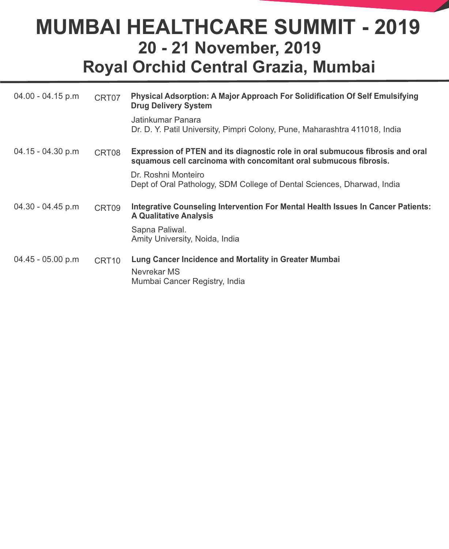| 04.00 - 04.15 p.m   | CRT07             | <b>Physical Adsorption: A Major Approach For Solidification Of Self Emulsifying</b><br><b>Drug Delivery System</b><br>Jatinkumar Panara<br>Dr. D. Y. Patil University, Pimpri Colony, Pune, Maharashtra 411018, India |
|---------------------|-------------------|-----------------------------------------------------------------------------------------------------------------------------------------------------------------------------------------------------------------------|
| $04.15 - 04.30 p.m$ | CRT08             | Expression of PTEN and its diagnostic role in oral submucous fibrosis and oral<br>squamous cell carcinoma with concomitant oral submucous fibrosis.                                                                   |
|                     |                   | Dr. Roshni Monteiro<br>Dept of Oral Pathology, SDM College of Dental Sciences, Dharwad, India                                                                                                                         |
| 04.30 - 04.45 p.m   | CRT09             | <b>Integrative Counseling Intervention For Mental Health Issues In Cancer Patients:</b><br><b>A Qualitative Analysis</b>                                                                                              |
|                     |                   | Sapna Paliwal.<br>Amity University, Noida, India                                                                                                                                                                      |
| $04.45 - 05.00 p.m$ | CRT <sub>10</sub> | Lung Cancer Incidence and Mortality in Greater Mumbai<br>Nevrekar MS<br>Mumbai Cancer Registry, India                                                                                                                 |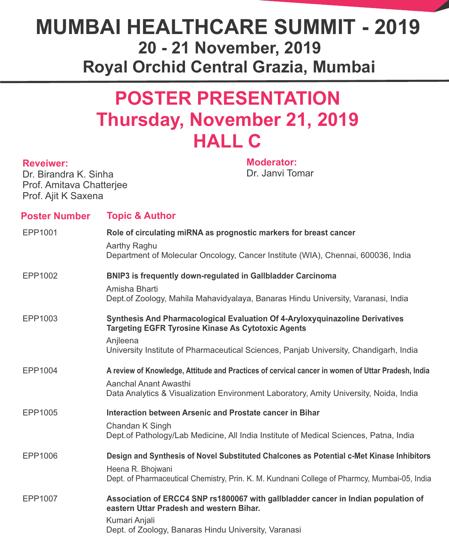### **POSTER PRESENTATION Thursday, November 21, 2019 HALL C**

#### **Reveiwer:**

Dr. Birandra K. Sinha Prof. Amitava Chatterjee Prof. Ajit K Saxena

**Moderator:** Dr. Janvi Tomar

| <b>Poster Number</b> | <b>Topic &amp; Author</b>                                                                                                                                             |
|----------------------|-----------------------------------------------------------------------------------------------------------------------------------------------------------------------|
| EPP1001              | Role of circulating miRNA as prognostic markers for breast cancer<br>Aarthy Raghu<br>Department of Molecular Oncology, Cancer Institute (WIA), Chennai, 600036, India |
|                      |                                                                                                                                                                       |
| EPP1002              | <b>BNIP3</b> is frequently down-regulated in Gallbladder Carcinoma<br>Amisha Bharti                                                                                   |
|                      | Dept.of Zoology, Mahila Mahavidyalaya, Banaras Hindu University, Varanasi, India                                                                                      |
| EPP1003              | Synthesis And Pharmacological Evaluation Of 4-Aryloxyquinazoline Derivatives<br><b>Targeting EGFR Tyrosine Kinase As Cytotoxic Agents</b>                             |
|                      | Anjleena<br>University Institute of Pharmaceutical Sciences, Panjab University, Chandigarh, India                                                                     |
| EPP1004              | A review of Knowledge, Attitude and Practices of cervical cancer in women of Uttar Pradesh, India                                                                     |
|                      | Aanchal Anant Awasthi<br>Data Analytics & Visualization Environment Laboratory, Amity University, Noida, India                                                        |
| EPP1005              | Interaction between Arsenic and Prostate cancer in Bihar                                                                                                              |
|                      | Chandan K Singh<br>Dept. of Pathology/Lab Medicine, All India Institute of Medical Sciences, Patna, India                                                             |
| EPP1006              | Design and Synthesis of Novel Substituted Chalcones as Potential c-Met Kinase Inhibitors                                                                              |
|                      | Heena R. Bhojwani<br>Dept. of Pharmaceutical Chemistry, Prin. K. M. Kundnani College of Pharmcy, Mumbai-05, India                                                     |
| EPP1007              | Association of ERCC4 SNP rs1800067 with gallbladder cancer in Indian population of<br>eastern Uttar Pradesh and western Bihar.<br>Kumari Anjali                       |
|                      | Dept. of Zoology, Banaras Hindu University, Varanasi                                                                                                                  |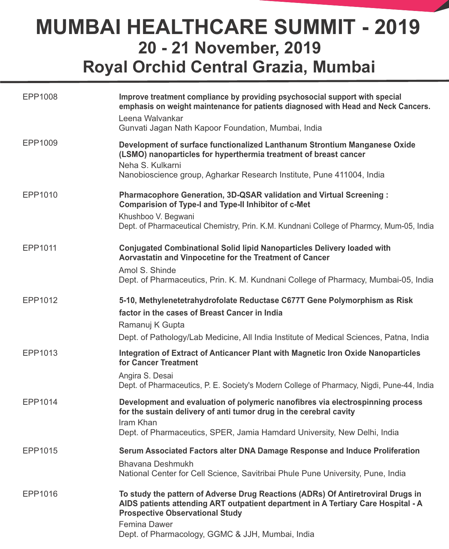| EPP1008 | Improve treatment compliance by providing psychosocial support with special<br>emphasis on weight maintenance for patients diagnosed with Head and Neck Cancers.<br>Leena Walvankar<br>Gunvati Jagan Nath Kapoor Foundation, Mumbai, India |
|---------|--------------------------------------------------------------------------------------------------------------------------------------------------------------------------------------------------------------------------------------------|
| EPP1009 | Development of surface functionalized Lanthanum Strontium Manganese Oxide<br>(LSMO) nanoparticles for hyperthermia treatment of breast cancer<br>Neha S. Kulkarni                                                                          |
|         | Nanobioscience group, Agharkar Research Institute, Pune 411004, India                                                                                                                                                                      |
| EPP1010 | Pharmacophore Generation, 3D-QSAR validation and Virtual Screening :<br><b>Comparision of Type-I and Type-II Inhibitor of c-Met</b>                                                                                                        |
|         | Khushboo V. Begwani<br>Dept. of Pharmaceutical Chemistry, Prin. K.M. Kundnani College of Pharmcy, Mum-05, India                                                                                                                            |
| EPP1011 | <b>Conjugated Combinational Solid lipid Nanoparticles Delivery loaded with</b><br>Aorvastatin and Vinpocetine for the Treatment of Cancer                                                                                                  |
|         | Amol S. Shinde<br>Dept. of Pharmaceutics, Prin. K. M. Kundnani College of Pharmacy, Mumbai-05, India                                                                                                                                       |
| EPP1012 | 5-10, Methylenetetrahydrofolate Reductase C677T Gene Polymorphism as Risk<br>factor in the cases of Breast Cancer in India<br>Ramanuj K Gupta                                                                                              |
|         | Dept. of Pathology/Lab Medicine, All India Institute of Medical Sciences, Patna, India                                                                                                                                                     |
| EPP1013 | Integration of Extract of Anticancer Plant with Magnetic Iron Oxide Nanoparticles<br>for Cancer Treatment                                                                                                                                  |
|         | Angira S. Desai<br>Dept. of Pharmaceutics, P. E. Society's Modern College of Pharmacy, Nigdi, Pune-44, India                                                                                                                               |
| EPP1014 | Development and evaluation of polymeric nanofibres via electrospinning process<br>for the sustain delivery of anti tumor drug in the cerebral cavity<br>Iram Khan                                                                          |
|         | Dept. of Pharmaceutics, SPER, Jamia Hamdard University, New Delhi, India                                                                                                                                                                   |
| EPP1015 | Serum Associated Factors alter DNA Damage Response and Induce Proliferation                                                                                                                                                                |
|         | <b>Bhavana Deshmukh</b><br>National Center for Cell Science, Savitribai Phule Pune University, Pune, India                                                                                                                                 |
| EPP1016 | To study the pattern of Adverse Drug Reactions (ADRs) Of Antiretroviral Drugs in<br>AIDS patients attending ART outpatient department in A Tertiary Care Hospital - A<br><b>Prospective Observational Study</b><br><b>Femina Dawer</b>     |
|         | Dept. of Pharmacology, GGMC & JJH, Mumbai, India                                                                                                                                                                                           |